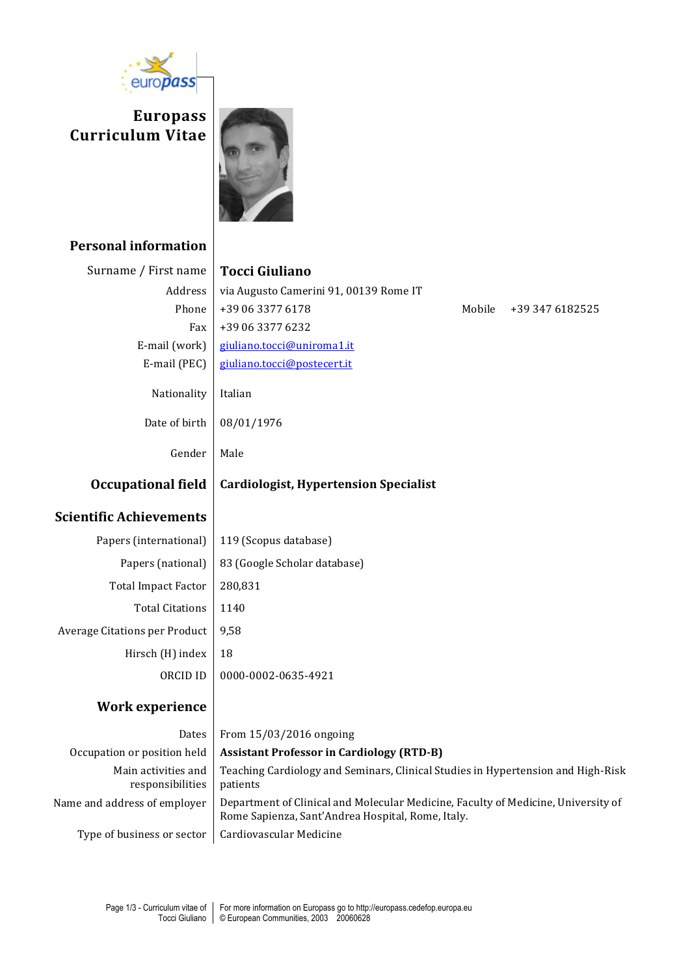

**Europass Curriculum Vitae**



## **Personal information**

| Surname / First name           | <b>Tocci Giuliano</b>                            |        |                 |
|--------------------------------|--------------------------------------------------|--------|-----------------|
| Address                        | via Augusto Camerini 91, 00139 Rome IT           |        |                 |
| Phone                          | +39 06 3377 6178                                 | Mobile | +39 347 6182525 |
| Fax                            | +39 06 3377 6232                                 |        |                 |
| E-mail (work)                  | giuliano.tocci@uniroma1.it                       |        |                 |
| E-mail (PEC)                   | giuliano.tocci@postecert.it                      |        |                 |
| Nationality                    | Italian                                          |        |                 |
| Date of birth                  | 08/01/1976                                       |        |                 |
| Gender                         | Male                                             |        |                 |
| <b>Occupational field</b>      | <b>Cardiologist, Hypertension Specialist</b>     |        |                 |
| <b>Scientific Achievements</b> |                                                  |        |                 |
| Papers (international)         | 119 (Scopus database)                            |        |                 |
| Papers (national)              | 83 (Google Scholar database)                     |        |                 |
| <b>Total Impact Factor</b>     | 280,831                                          |        |                 |
| <b>Total Citations</b>         | 1140                                             |        |                 |
| Average Citations per Product  | 9,58                                             |        |                 |
| Hirsch (H) index               | 18                                               |        |                 |
| ORCID ID                       | 0000-0002-0635-4921                              |        |                 |
| <b>Work experience</b>         |                                                  |        |                 |
| Dates                          | From 15/03/2016 ongoing                          |        |                 |
| Occupation or position held    | <b>Assistant Professor in Cardiology (RTD-B)</b> |        |                 |

Main activities and responsibilities Teaching Cardiology and Seminars, Clinical Studies in Hypertension and High-Risk patients Name and address of employer | Department of Clinical and Molecular Medicine, Faculty of Medicine, University of Rome Sapienza, Sant'Andrea Hospital, Rome, Italy. Type of business or sector  $\vert$  Cardiovascular Medicine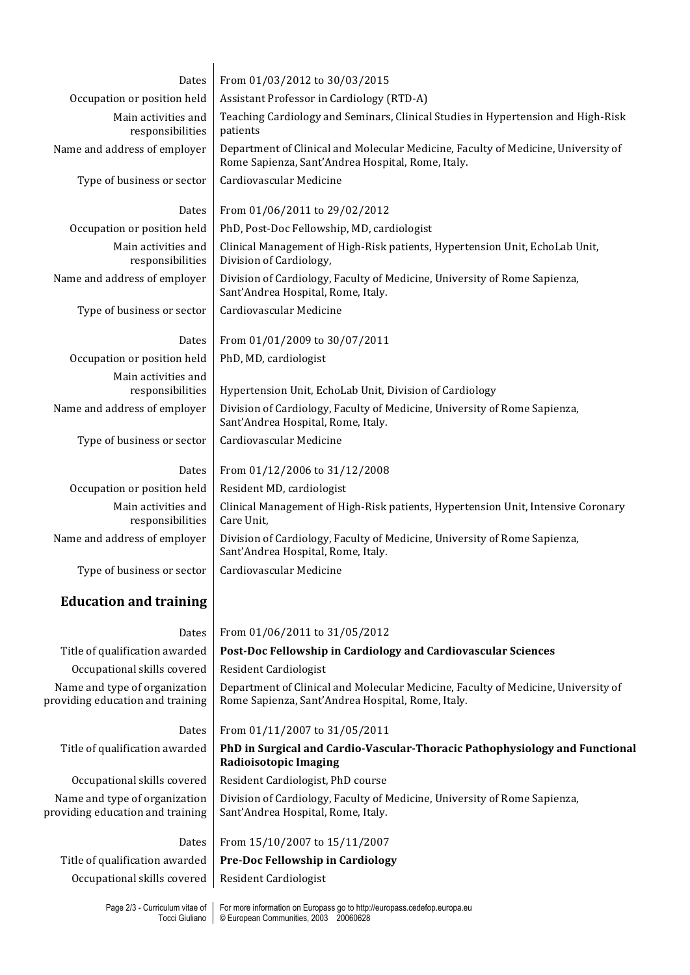| Dates                                                             | From 01/03/2012 to 30/03/2015                                                                                                          |  |  |  |
|-------------------------------------------------------------------|----------------------------------------------------------------------------------------------------------------------------------------|--|--|--|
| Occupation or position held                                       | Assistant Professor in Cardiology (RTD-A)                                                                                              |  |  |  |
| Main activities and<br>responsibilities                           | Teaching Cardiology and Seminars, Clinical Studies in Hypertension and High-Risk<br>patients                                           |  |  |  |
| Name and address of employer                                      | Department of Clinical and Molecular Medicine, Faculty of Medicine, University of<br>Rome Sapienza, Sant'Andrea Hospital, Rome, Italy. |  |  |  |
| Type of business or sector                                        | Cardiovascular Medicine                                                                                                                |  |  |  |
| Dates                                                             | From 01/06/2011 to 29/02/2012                                                                                                          |  |  |  |
| Occupation or position held                                       | PhD, Post-Doc Fellowship, MD, cardiologist                                                                                             |  |  |  |
| Main activities and<br>responsibilities                           | Clinical Management of High-Risk patients, Hypertension Unit, EchoLab Unit,<br>Division of Cardiology,                                 |  |  |  |
| Name and address of employer                                      | Division of Cardiology, Faculty of Medicine, University of Rome Sapienza,<br>Sant'Andrea Hospital, Rome, Italy.                        |  |  |  |
| Type of business or sector                                        | Cardiovascular Medicine                                                                                                                |  |  |  |
| Dates                                                             | From 01/01/2009 to 30/07/2011                                                                                                          |  |  |  |
| Occupation or position held                                       | PhD, MD, cardiologist                                                                                                                  |  |  |  |
| Main activities and<br>responsibilities                           | Hypertension Unit, EchoLab Unit, Division of Cardiology                                                                                |  |  |  |
| Name and address of employer                                      | Division of Cardiology, Faculty of Medicine, University of Rome Sapienza,<br>Sant'Andrea Hospital, Rome, Italy.                        |  |  |  |
| Type of business or sector                                        | Cardiovascular Medicine                                                                                                                |  |  |  |
| Dates                                                             | From 01/12/2006 to 31/12/2008                                                                                                          |  |  |  |
| Occupation or position held                                       | Resident MD, cardiologist                                                                                                              |  |  |  |
| Main activities and<br>responsibilities                           | Clinical Management of High-Risk patients, Hypertension Unit, Intensive Coronary<br>Care Unit,                                         |  |  |  |
| Name and address of employer                                      | Division of Cardiology, Faculty of Medicine, University of Rome Sapienza,<br>Sant'Andrea Hospital, Rome, Italy.                        |  |  |  |
| Type of business or sector                                        | Cardiovascular Medicine                                                                                                                |  |  |  |
| <b>Education and training</b>                                     |                                                                                                                                        |  |  |  |
| Dates                                                             | From 01/06/2011 to 31/05/2012                                                                                                          |  |  |  |
| Title of qualification awarded                                    | Post-Doc Fellowship in Cardiology and Cardiovascular Sciences                                                                          |  |  |  |
| Occupational skills covered                                       | Resident Cardiologist                                                                                                                  |  |  |  |
| Name and type of organization<br>providing education and training | Department of Clinical and Molecular Medicine, Faculty of Medicine, University of<br>Rome Sapienza, Sant'Andrea Hospital, Rome, Italy. |  |  |  |
| Dates                                                             | From 01/11/2007 to 31/05/2011                                                                                                          |  |  |  |
| Title of qualification awarded                                    | PhD in Surgical and Cardio-Vascular-Thoracic Pathophysiology and Functional<br>Radioisotopic Imaging                                   |  |  |  |
| Occupational skills covered                                       | Resident Cardiologist, PhD course                                                                                                      |  |  |  |
| Name and type of organization<br>providing education and training | Division of Cardiology, Faculty of Medicine, University of Rome Sapienza,<br>Sant'Andrea Hospital, Rome, Italy.                        |  |  |  |
| Dates                                                             | From 15/10/2007 to 15/11/2007                                                                                                          |  |  |  |
| Title of qualification awarded                                    | Pre-Doc Fellowship in Cardiology                                                                                                       |  |  |  |
| Occupational skills covered                                       | Resident Cardiologist                                                                                                                  |  |  |  |
|                                                                   | Page 2/3 - Curriculum vitae of   For more information on Europass go to http://europass.cedefop.europa.eu                              |  |  |  |

Tocci Giuliano

© European Communities, 2003 20060628